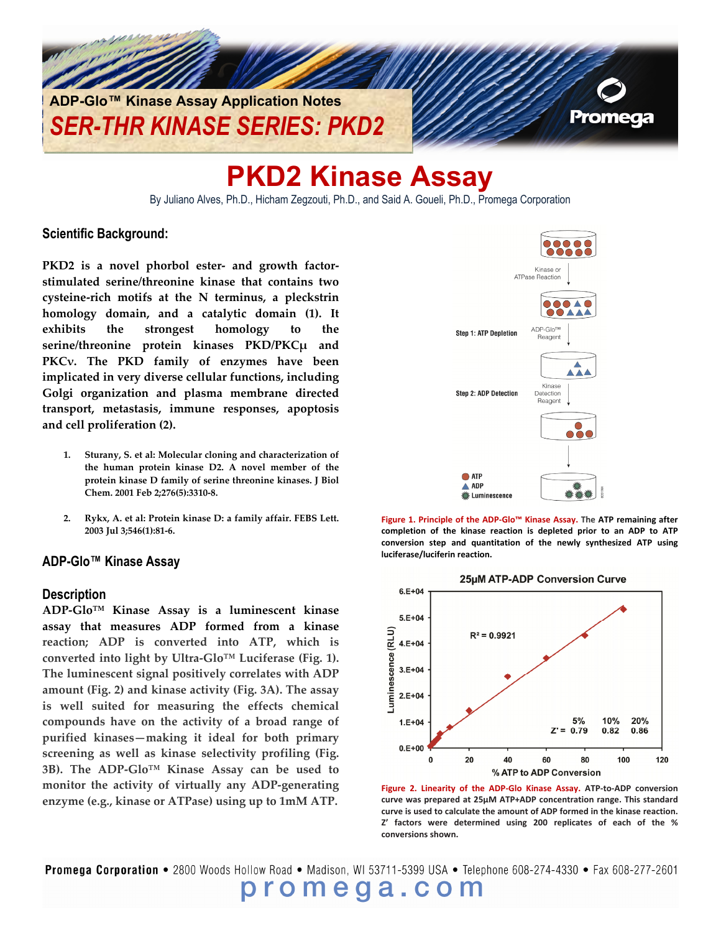

# **PKD2 Kinase Assay**

By Juliano Alves, Ph.D., Hicham Zegzouti, Ph.D., and Said A. Goueli, Ph.D., Promega Corporation

#### **Scientific Background:**

**PKD2 is a novel phorbol ester‐ and growth factor‐ stimulated serine/threonine kinase that contains two cysteine‐rich motifs at the N terminus, a pleckstrin homology domain, and a catalytic domain (1). It exhibits the strongest homology to the serine/threonine protein kinases PKD/PKCμ and PKCν. The PKD family of enzymes have been implicated in very diverse cellular functions, including Golgi organization and plasma membrane directed transport, metastasis, immune responses, apoptosis and cell proliferation (2).**

- **1. Sturany, S. et al: Molecular cloning and characterization of the human protein kinase D2. A novel member of the protein kinase D family of serine threonine kinases. J Biol Chem. 2001 Feb 2;276(5):3310‐8.**
- **2. Rykx, A. et al: Protein kinase D: a family affair. FEBS Lett. 2003 Jul 3;546(1):81‐6.**

#### **ADP-Glo™ Kinase Assay**

#### **Description**

**ADP‐Glo™ Kinase Assay is a luminescent kinase assay that measures ADP formed from a kinase reaction; ADP is converted into ATP, which is converted into light by Ultra‐Glo™ Luciferase (Fig. 1). The luminescent signal positively correlates with ADP amount (Fig. 2) and kinase activity (Fig. 3A). The assay is well suited for measuring the effects chemical compounds have on the activity of a broad range of purified kinases—making it ideal for both primary screening as well as kinase selectivity profiling (Fig. 3B). The ADP‐Glo™ Kinase Assay can be used to monitor the activity of virtually any ADP‐generating enzyme (e.g., kinase or ATPase) using up to 1mM ATP.**







**Figure 2. Linearity of the ADP‐Glo Kinase Assay. ATP‐to‐ADP conversion curve was prepared at 25µM ATP+ADP concentration range. This standard curve is used to calculate the amount of ADP formed in the kinase reaction. Z' factors were determined using 200 replicates of each of the % conversions shown.**

Promega Corporation • 2800 Woods Hollow Road • Madison, WI 53711-5399 USA • Telephone 608-274-4330 • Fax 608-277-2601 promega.com